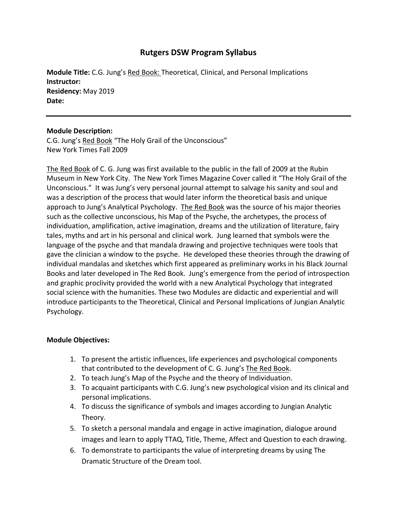# **Rutgers DSW Program Syllabus**

**Module Title:** C.G. Jung's Red Book: Theoretical, Clinical, and Personal Implications **Instructor: Residency:** May 2019 **Date:**

# **Module Description:**

C.G. Jung's Red Book "The Holy Grail of the Unconscious" New York Times Fall 2009

The Red Book of C. G. Jung was first available to the public in the fall of 2009 at the Rubin Museum in New York City. The New York Times Magazine Cover called it "The Holy Grail of the Unconscious." It was Jung's very personal journal attempt to salvage his sanity and soul and was a description of the process that would later inform the theoretical basis and unique approach to Jung's Analytical Psychology. The Red Book was the source of his major theories such as the collective unconscious, his Map of the Psyche, the archetypes, the process of individuation, amplification, active imagination, dreams and the utilization of literature, fairy tales, myths and art in his personal and clinical work. Jung learned that symbols were the language of the psyche and that mandala drawing and projective techniques were tools that gave the clinician a window to the psyche. He developed these theories through the drawing of individual mandalas and sketches which first appeared as preliminary works in his Black Journal Books and later developed in The Red Book. Jung's emergence from the period of introspection and graphic proclivity provided the world with a new Analytical Psychology that integrated social science with the humanities. These two Modules are didactic and experiential and will introduce participants to the Theoretical, Clinical and Personal Implications of Jungian Analytic Psychology.

### **Module Objectives:**

- 1. To present the artistic influences, life experiences and psychological components that contributed to the development of C. G. Jung's The Red Book.
- 2. To teach Jung's Map of the Psyche and the theory of Individuation.
- 3. To acquaint participants with C.G. Jung's new psychological vision and its clinical and personal implications.
- 4. To discuss the significance of symbols and images according to Jungian Analytic Theory.
- 5. To sketch a personal mandala and engage in active imagination, dialogue around images and learn to apply TTAQ, Title, Theme, Affect and Question to each drawing.
- 6. To demonstrate to participants the value of interpreting dreams by using The Dramatic Structure of the Dream tool.